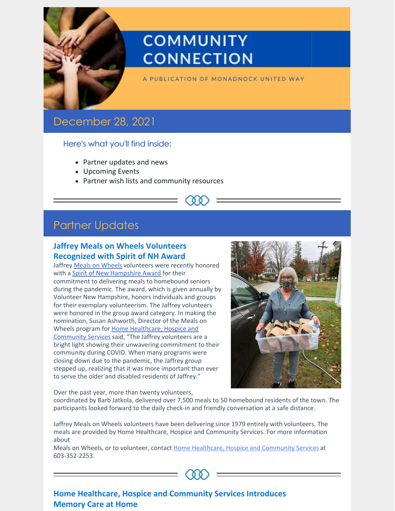

# **COMMUNITY CONNECTION**

A PUBLICATION OF MONADNOCK UNITED WAY

## December 28, 2021

## Here's what you'll find inside:

- Partner updates and news
- Upcoming Events
- Partner wish lists and community resources



## **Jaffrey Meals on Wheels Volunteers Recognized with Spirit of NH Award**

Jaffrey Meals on [Wheels](https://www.hcsservices.org/services/nutrition-for-seniors/meals-on-wheels/) volunteers were recently honored with a Spirit of New [Hampshire](https://volunteernh.org/event/2021-spirit-event/) Award for their commitment to delivering meals to homebound seniors during the pandemic. The award, which is given annually by Volunteer New Hampshire, honors individuals and groups for their exemplary volunteerism. The Jaffrey volunteers were honored in the group award category. In making the nomination, Susan Ashworth, Director of the Meals on Wheels program for Home [Healthcare,](https://www.hcsservices.org/) Hospice and Community Services said, "The Jaffrey volunteers are a bright light showing their unwavering commitment to their community during COVID. When many programs were closing down due to the pandemic, the Jaffrey group stepped up, realizing that it was more important than ever to serve the older and disabled residents of Jaffrey."



Over the past year, more than twenty volunteers,

coordinated by Barb Jatkola, delivered over 7,500 meals to 50 homebound residents of the town. The participants looked forward to the daily check-in and friendly conversation at a safe distance.

Jaffrey Meals on Wheels volunteers have been delivering since 1979 entirely with volunteers. The meals are provided by Home Healthcare, Hospice and Community Services. For more information about

Meals on Wheels, or to volunteer, contact Home Healthcare, Hospice and [Community](https://www.hcsservices.org/) Services at 603-352-2253.



## **Home Healthcare, Hospice and Community Services Introduces Memory Care at Home**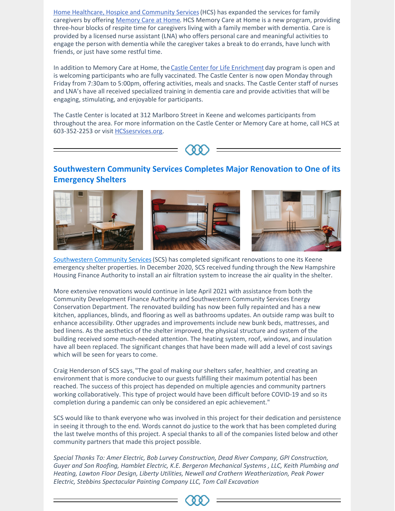Home Healthcare, Hospice and [Community](https://www.hcsservices.org/) Services(HCS) has expanded the services for family caregivers by offering [Memory](https://www.hcsservices.org/services/castle-center/memory-care-at-home/) Care at Home. HCS Memory Care at Home is a new program, providing three-hour blocks of respite time for caregivers living with a family member with dementia. Care is provided by a licensed nurse assistant (LNA) who offers personal care and meaningful activities to engage the person with dementia while the caregiver takes a break to do errands, have lunch with friends, or just have some restful time.

In addition to Memory Care at Home, the Castle Center for Life [Enrichment](https://www.hcsservices.org/services/castle-center/) day program is open and is welcoming participants who are fully vaccinated. The Castle Center is now open Monday through Friday from 7:30am to 5:00pm, offering activities, meals and snacks. The Castle Center staff of nurses and LNA's have all received specialized training in dementia care and provide activities that will be engaging, stimulating, and enjoyable for participants.

The Castle Center is located at 312 Marlboro Street in Keene and welcomes participants from throughout the area. For more information on the Castle Center or Memory Care at home, call HCS at 603-352-2253 or visit **[HCSsesrvices.org](https://www.hcsservices.org/services/castle-center/)**.



## **Southwestern Community Services Completes Major Renovation to One of its Emergency Shelters**



[Southwestern](https://www.scshelps.org/) Community Services(SCS) has completed significant renovations to one its Keene emergency shelter properties. In December 2020, SCS received funding through the New Hampshire Housing Finance Authority to install an air filtration system to increase the air quality in the shelter.

More extensive renovations would continue in late April 2021 with assistance from both the Community Development Finance Authority and Southwestern Community Services Energy Conservation Department. The renovated building has now been fully repainted and has a new kitchen, appliances, blinds, and flooring as well as bathrooms updates. An outside ramp was built to enhance accessibility. Other upgrades and improvements include new bunk beds, mattresses, and bed linens. As the aesthetics of the shelter improved, the physical structure and system of the building received some much-needed attention. The heating system, roof, windows, and insulation have all been replaced. The significant changes that have been made will add a level of cost savings which will be seen for years to come.

Craig Henderson of SCS says,"The goal of making our shelters safer, healthier, and creating an environment that is more conducive to our guests fulfilling their maximum potential has been reached. The success of this project has depended on multiple agencies and community partners working collaboratively. This type of project would have been difficult before COVID-19 and so its completion during a pandemic can only be considered an epic achievement."

SCS would like to thank everyone who was involved in this project for their dedication and persistence in seeing it through to the end. Words cannot do justice to the work that has been completed during the last twelve months of this project. A special thanks to all of the companies listed below and other community partners that made this project possible.

*Special Thanks To: Amer Electric, Bob Lurvey Construction, Dead River Company, GPI Construction, Guyer and Son Roofing, Hamblet Electric, K.E. Bergeron Mechanical Systems , LLC, Keith Plumbing and Heating, Lawton Floor Design, Liberty Utilities, Newell and Crathern Weatherization, Peak Power Electric, Stebbins Spectacular Painting Company LLC, Tom Call Excavation*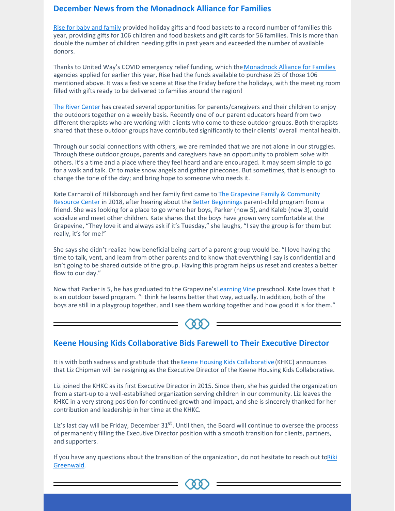## **December News from the Monadnock Alliance for Families**

Rise for baby and [family](https://www.riseforbabyandfamily.org/) provided holiday gifts and food baskets to a record number of families this year, providing gifts for 106 children and food baskets and gift cards for 56 families. This is more than double the number of children needing gifts in past years and exceeded the number of available donors.

Thanks to United Way's COVID emergency relief funding, which the [Monadnock](https://www.muw.org/impact/monadnock-alliance-families-0) Alliance for Families agencies applied for earlier this year, Rise had the funds available to purchase 25 of those 106 mentioned above. It was a festive scene at Rise the Friday before the holidays, with the meeting room filled with gifts ready to be delivered to families around the region!

The River [Center](https://www.rivercenter.us/) has created several opportunities for parents/caregivers and their children to enjoy the outdoors together on a weekly basis. Recently one of our parent educators heard from two different therapists who are working with clients who come to these outdoor groups. Both therapists shared that these outdoor groups have contributed significantly to their clients' overall mental health.

Through our social connections with others, we are reminded that we are not alone in our struggles. Through these outdoor groups, parents and caregivers have an opportunity to problem solve with others. It's a time and a place where they feel heard and are encouraged. It may seem simple to go for a walk and talk. Or to make snow angels and gather pinecones. But sometimes, that is enough to change the tone of the day; and bring hope to someone who needs it.

Kate Carnaroli of [Hillsborough](https://grapevinenh.org/) and her family first came to **The Grapevine Family & Community** Resource Center in 2018, after hearing about the Better [Beginnings](https://grapevinenh.org/parent-child-groups/) parent-child program from a friend. She was looking for a place to go where her boys, Parker (now 5), and Kaleb (now 3), could socialize and meet other children. Kate shares that the boys have grown very comfortable at the Grapevine, "They love it and always ask if it's Tuesday," she laughs, "I say the group is for them but really, it's for me!"

She says she didn't realize how beneficial being part of a parent group would be. "I love having the time to talk, vent, and learn from other parents and to know that everything I say is confidential and isn't going to be shared outside of the group. Having this program helps us reset and creates a better flow to our day."

Now that Parker is 5, he has graduated to the Grapevine's [Learning](https://grapevinenh.org/the-learning-vine-preschool/) Vine preschool. Kate loves that it is an outdoor based program. "I think he learns better that way, actually. In addition, both of the boys are still in a playgroup together, and I see them working together and how good it is for them."



## **Keene Housing Kids Collaborative Bids Farewell to Their Executive Director**

It is with both sadness and gratitude that the Keene Housing Kids [Collaborative](https://www.khkc.org/) (KHKC) announces that Liz Chipman will be resigning as the Executive Director of the Keene Housing Kids Collaborative.

Liz joined the KHKC as its first Executive Director in 2015. Since then, she has guided the organization from a start-up to a well-established organization serving children in our community. Liz leaves the KHKC in a very strong position for continued growth and impact, and she is sincerely thanked for her contribution and leadership in her time at the KHKC.

Liz's last day will be Friday, December 31<sup>st</sup>. Until then, the Board will continue to oversee the process of permanently filling the Executive Director position with a smooth transition for clients, partners, and supporters.

If you have any questions about the transition of the [organization,](mailto:erikagreenwald@gmail.com) do not hesitate to reach out toRiki Greenwald.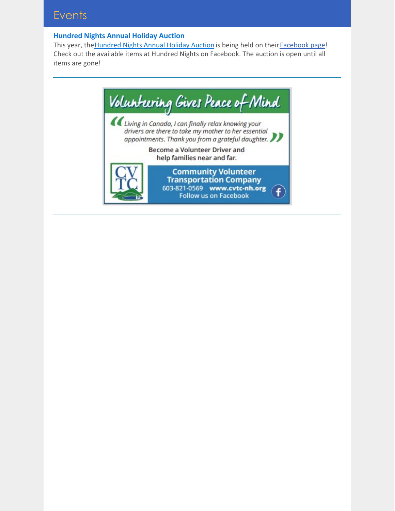### **Hundred Nights Annual Holiday Auction**

This year, the [Hundred](https://hundrednightsinc.org/upcoming-events/holiday-auction/) Nights Annual Holiday Auction is being held on their [Facebook](https://www.facebook.com/HundredNightsHomelessShelter) page! Check out the available items at Hundred Nights on Facebook. The auction is open until all items are gone!

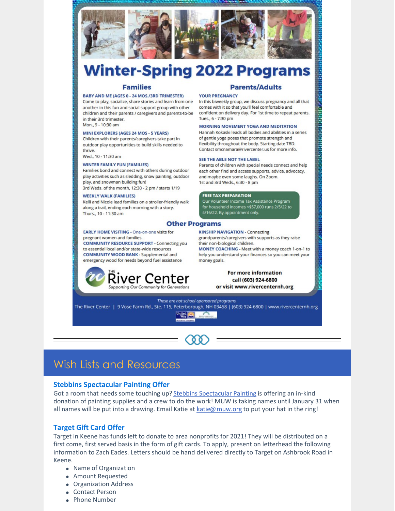



# **Winter-Spring 2022 Programs**

#### **Families**

#### **BABY AND ME (AGES 0 - 24 MOS./3RD TRIMESTER)**

Come to play, socialize, share stories and learn from one another in this fun and social support group with other children and their parents / caregivers and parents-to-be in their 3rd trimester.

Mon., 9 - 10:30 am

#### MINI EXPLORERS (AGES 24 MOS - 5 YEARS)

Children with their parents/caregivers take part in outdoor play opportunities to build skills needed to thrive.

Wed., 10 - 11:30 am

#### **WINTER FAMILY FUN (FAMILIES)**

Families bond and connect with others during outdoor play activities such as sledding, snow painting, outdoor play, and snowman building fun!

3rd Weds. of the month, 12:30 - 2 pm / starts 1/19

#### **WEEKLY WALK (FAMILIES)**

Kelli and Nicole lead families on a stroller-friendly walk along a trail, ending each morning with a story. Thurs., 10 - 11:30 am

#### **Other Programs**

**EARLY HOME VISITING - One-on-one visits for** pregnant women and families.

**COMMUNITY RESOURCE SUPPORT - Connecting you** to essential local and/or state-wide resources COMMUNITY WOOD BANK - Supplemental and emergency wood for needs beyond fuel assistance



#### **Parents/Adults**

#### **YOUR PREGNANCY**

In this biweekly group, we discuss pregnancy and all that comes with it so that you'll feel comfortable and confident on delivery day. For 1st time to repeat parents. Tues., 6 - 7:30 pm

#### **MORNING MOVEMENT YOGA AND MEDITATION**

Hannah Kokaski leads all bodies and abilities in a series of gentle yoga poses that promote strength and flexibility throughout the body. Starting date TBD. Contact smcnamara@rivercenter.us for more info.

#### SEE THE ABLE NOT THE LABEL

Parents of children with special needs connect and help each other find and access supports, advice, advocacy, and maybe even some laughs. On Zoom. 1st and 3rd Weds., 6:30 - 8 pm

#### **FREE TAX PREPARATION**

Our Volunteer Income Tax Assistance Program<br>for household incomes <\$57,000 runs 2/5/22 to 4/16/22. By appointment only.

**KINSHIP NAVIGATION - Connecting** grandparents/caregivers with supports as they raise their non-biological children.

MONEY COACHING - Meet with a money coach 1-on-1 to help you understand your finances so you can meet your money goals.

#### For more information call (603) 924-6800 or visit www.rivercenternh.org

These are not school-sponsored programs. The River Center | 9 Vose Farm Rd., Ste. 115, Peterborough, NH 03458 | (603) 924-6800 | www.rivercenternh.org United

## **Wish Lists and Resources**

### **Stebbins Spectacular Painting Offer**

Got a room that needs some touching up? Stebbins Spectacular Painting is offering an in-kind donation of painting supplies and a crew to do the work! MUW is taking names until January 31 when all names will be put into a drawing. Email Katie at katie@ muw.org to put your hat in the ring!

### **Target Gift Card Offer**

Target in Keene has funds left to donate to area nonprofits for 2021! They will be distributed on a first come, first served basis in the form of gift cards. To apply, present on letterhead the following information to Zach Eades. Letters should be hand delivered directly to Target on Ashbrook Road in Keene

- Name of Organization
- Amount Requested
- Organization Address
- Contact Person
- Phone Number